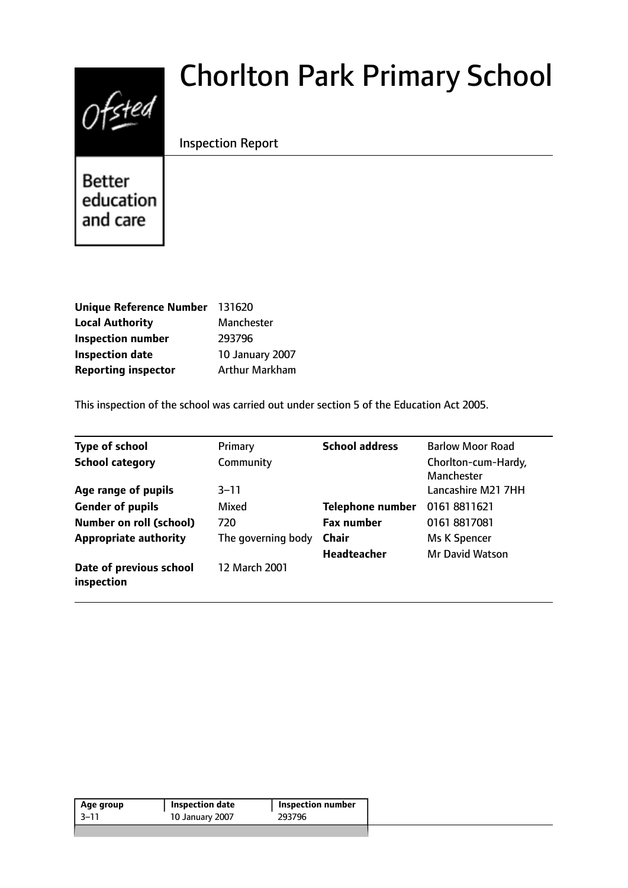# $0$ fsted

# Chorlton Park Primary School

Inspection Report

**Better** education and care

| <b>Unique Reference Number</b> | 131620                 |
|--------------------------------|------------------------|
| <b>Local Authority</b>         | Manchester             |
| <b>Inspection number</b>       | 293796                 |
| <b>Inspection date</b>         | <b>10 January 2007</b> |
| <b>Reporting inspector</b>     | <b>Arthur Markham</b>  |

This inspection of the school was carried out under section 5 of the Education Act 2005.

| Type of school                        | Primary            | <b>School address</b>   | <b>Barlow Moor Road</b>           |
|---------------------------------------|--------------------|-------------------------|-----------------------------------|
| <b>School category</b>                | Community          |                         | Chorlton-cum-Hardy,<br>Manchester |
| Age range of pupils                   | $3 - 11$           |                         | Lancashire M21 7HH                |
| <b>Gender of pupils</b>               | Mixed              | <b>Telephone number</b> | 01618811621                       |
| <b>Number on roll (school)</b>        | 720                | <b>Fax number</b>       | 01618817081                       |
| <b>Appropriate authority</b>          | The governing body | <b>Chair</b>            | Ms K Spencer                      |
|                                       |                    | Headteacher             | <b>Mr David Watson</b>            |
| Date of previous school<br>inspection | 12 March 2001      |                         |                                   |

| Age group | <b>Inspection date</b> | <b>Inspection number</b> |
|-----------|------------------------|--------------------------|
| -3–11     | 10 January 2007        | 293796                   |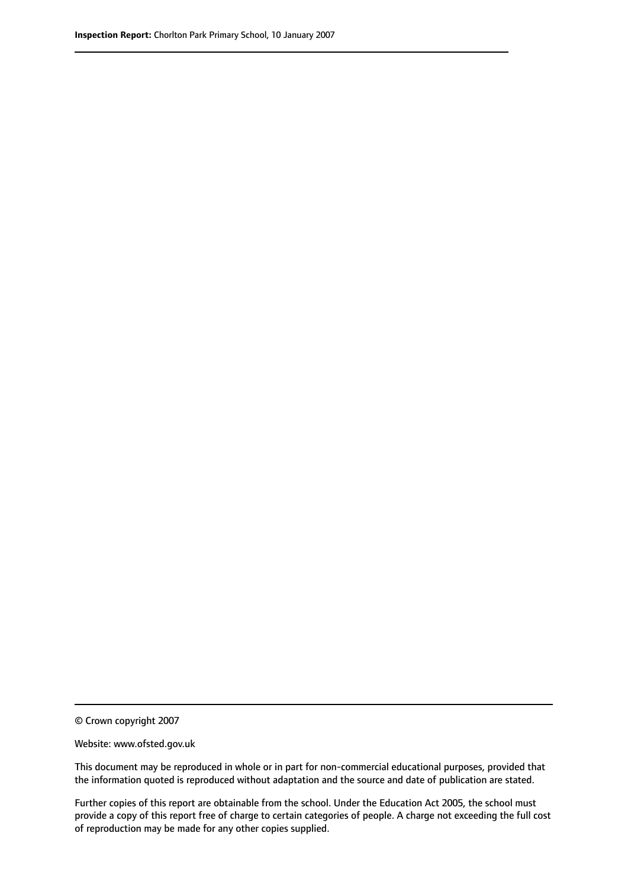© Crown copyright 2007

Website: www.ofsted.gov.uk

This document may be reproduced in whole or in part for non-commercial educational purposes, provided that the information quoted is reproduced without adaptation and the source and date of publication are stated.

Further copies of this report are obtainable from the school. Under the Education Act 2005, the school must provide a copy of this report free of charge to certain categories of people. A charge not exceeding the full cost of reproduction may be made for any other copies supplied.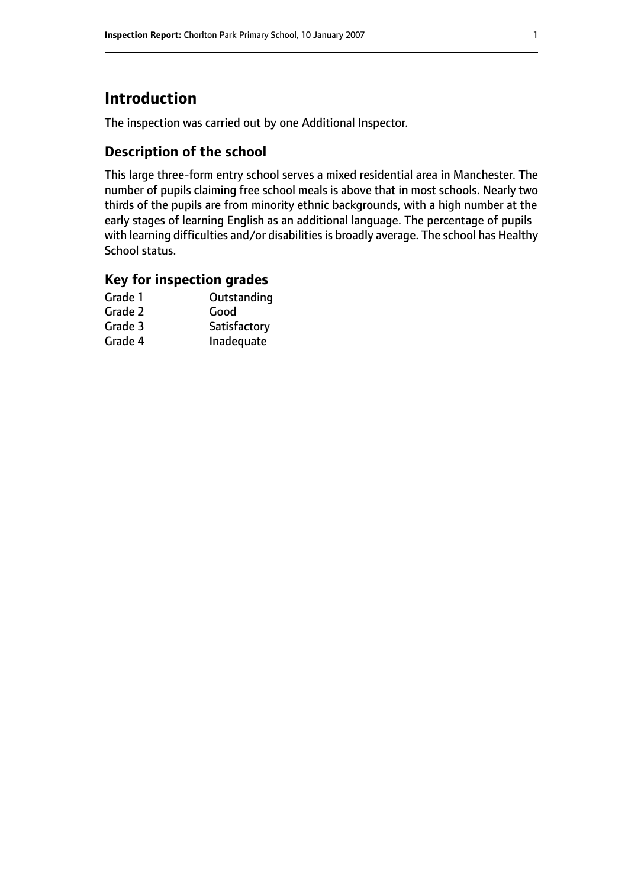# **Introduction**

The inspection was carried out by one Additional Inspector.

# **Description of the school**

This large three-form entry school serves a mixed residential area in Manchester. The number of pupils claiming free school meals is above that in most schools. Nearly two thirds of the pupils are from minority ethnic backgrounds, with a high number at the early stages of learning English as an additional language. The percentage of pupils with learning difficulties and/or disabilities is broadly average. The school has Healthy School status.

#### **Key for inspection grades**

| Outstanding  |
|--------------|
| Good         |
| Satisfactory |
| Inadequate   |
|              |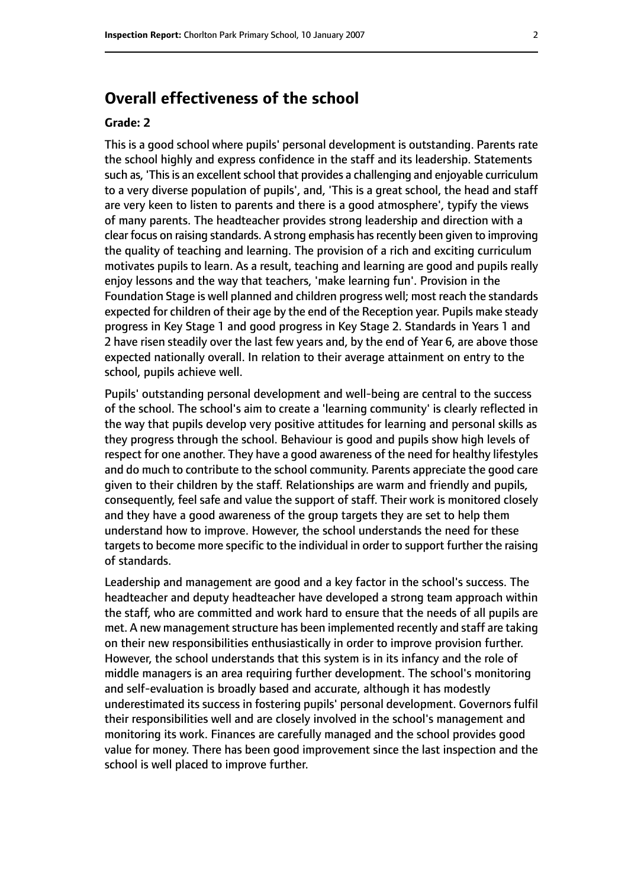# **Overall effectiveness of the school**

#### **Grade: 2**

This is a good school where pupils' personal development is outstanding. Parents rate the school highly and express confidence in the staff and its leadership. Statements such as, 'This is an excellent school that provides a challenging and enjoyable curriculum to a very diverse population of pupils', and, 'This is a great school, the head and staff are very keen to listen to parents and there is a good atmosphere', typify the views of many parents. The headteacher provides strong leadership and direction with a clear focus on raising standards. A strong emphasis hasrecently been given to improving the quality of teaching and learning. The provision of a rich and exciting curriculum motivates pupils to learn. As a result, teaching and learning are good and pupils really enjoy lessons and the way that teachers, 'make learning fun'. Provision in the Foundation Stage is well planned and children progress well; most reach the standards expected for children of their age by the end of the Reception year. Pupils make steady progress in Key Stage 1 and good progress in Key Stage 2. Standards in Years 1 and 2 have risen steadily over the last few years and, by the end of Year 6, are above those expected nationally overall. In relation to their average attainment on entry to the school, pupils achieve well.

Pupils' outstanding personal development and well-being are central to the success of the school. The school's aim to create a 'learning community' is clearly reflected in the way that pupils develop very positive attitudes for learning and personal skills as they progress through the school. Behaviour is good and pupils show high levels of respect for one another. They have a good awareness of the need for healthy lifestyles and do much to contribute to the school community. Parents appreciate the good care given to their children by the staff. Relationships are warm and friendly and pupils, consequently, feel safe and value the support of staff. Their work is monitored closely and they have a good awareness of the group targets they are set to help them understand how to improve. However, the school understands the need for these targets to become more specific to the individual in order to support further the raising of standards.

Leadership and management are good and a key factor in the school's success. The headteacher and deputy headteacher have developed a strong team approach within the staff, who are committed and work hard to ensure that the needs of all pupils are met. A new management structure has been implemented recently and staff are taking on their new responsibilities enthusiastically in order to improve provision further. However, the school understands that this system is in its infancy and the role of middle managers is an area requiring further development. The school's monitoring and self-evaluation is broadly based and accurate, although it has modestly underestimated its success in fostering pupils' personal development. Governors fulfil their responsibilities well and are closely involved in the school's management and monitoring its work. Finances are carefully managed and the school provides good value for money. There has been good improvement since the last inspection and the school is well placed to improve further.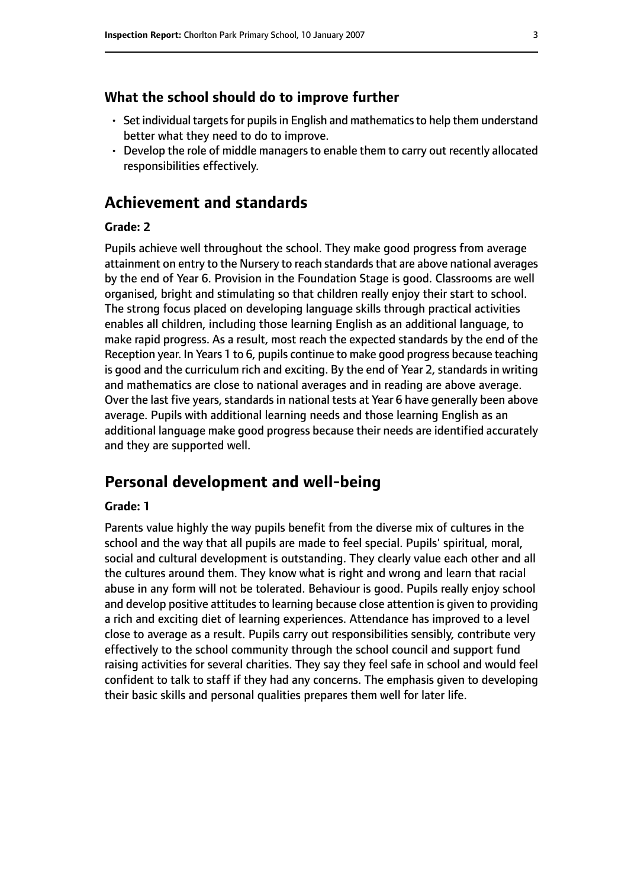#### **What the school should do to improve further**

- $\cdot$  Set individual targets for pupils in English and mathematics to help them understand better what they need to do to improve.
- Develop the role of middle managers to enable them to carry out recently allocated responsibilities effectively.

# **Achievement and standards**

#### **Grade: 2**

Pupils achieve well throughout the school. They make good progress from average attainment on entry to the Nursery to reach standards that are above national averages by the end of Year 6. Provision in the Foundation Stage is good. Classrooms are well organised, bright and stimulating so that children really enjoy their start to school. The strong focus placed on developing language skills through practical activities enables all children, including those learning English as an additional language, to make rapid progress. As a result, most reach the expected standards by the end of the Reception year. In Years 1 to 6, pupils continue to make good progress because teaching is good and the curriculum rich and exciting. By the end of Year 2, standards in writing and mathematics are close to national averages and in reading are above average. Over the last five years, standards in national tests at Year 6 have generally been above average. Pupils with additional learning needs and those learning English as an additional language make good progress because their needs are identified accurately and they are supported well.

#### **Personal development and well-being**

#### **Grade: 1**

Parents value highly the way pupils benefit from the diverse mix of cultures in the school and the way that all pupils are made to feel special. Pupils' spiritual, moral, social and cultural development is outstanding. They clearly value each other and all the cultures around them. They know what is right and wrong and learn that racial abuse in any form will not be tolerated. Behaviour is good. Pupils really enjoy school and develop positive attitudes to learning because close attention is given to providing a rich and exciting diet of learning experiences. Attendance has improved to a level close to average as a result. Pupils carry out responsibilities sensibly, contribute very effectively to the school community through the school council and support fund raising activities for several charities. They say they feel safe in school and would feel confident to talk to staff if they had any concerns. The emphasis given to developing their basic skills and personal qualities prepares them well for later life.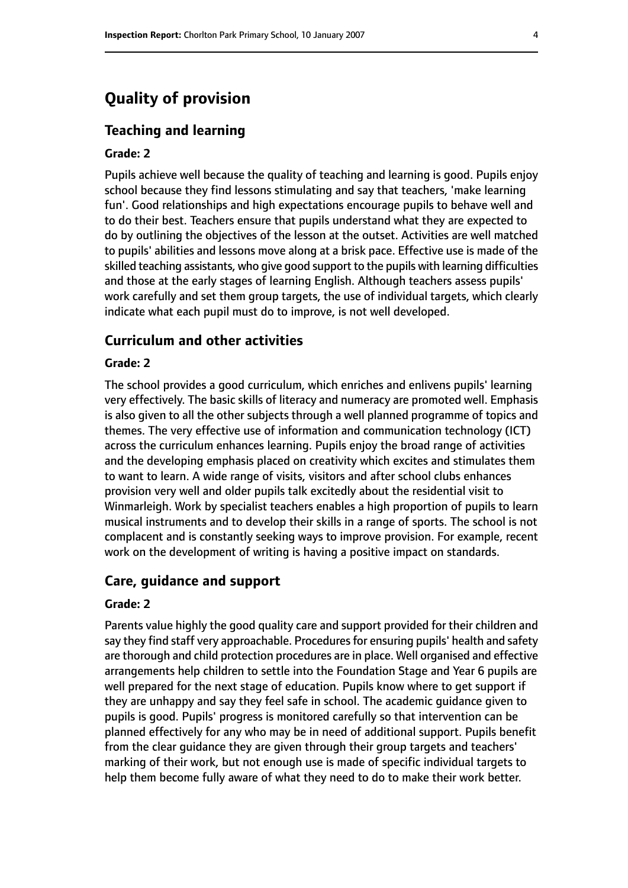# **Quality of provision**

#### **Teaching and learning**

#### **Grade: 2**

Pupils achieve well because the quality of teaching and learning is good. Pupils enjoy school because they find lessons stimulating and say that teachers, 'make learning fun'. Good relationships and high expectations encourage pupils to behave well and to do their best. Teachers ensure that pupils understand what they are expected to do by outlining the objectives of the lesson at the outset. Activities are well matched to pupils' abilities and lessons move along at a brisk pace. Effective use is made of the skilled teaching assistants, who give good support to the pupils with learning difficulties and those at the early stages of learning English. Although teachers assess pupils' work carefully and set them group targets, the use of individual targets, which clearly indicate what each pupil must do to improve, is not well developed.

#### **Curriculum and other activities**

#### **Grade: 2**

The school provides a good curriculum, which enriches and enlivens pupils' learning very effectively. The basic skills of literacy and numeracy are promoted well. Emphasis is also given to all the other subjects through a well planned programme of topics and themes. The very effective use of information and communication technology (ICT) across the curriculum enhances learning. Pupils enjoy the broad range of activities and the developing emphasis placed on creativity which excites and stimulates them to want to learn. A wide range of visits, visitors and after school clubs enhances provision very well and older pupils talk excitedly about the residential visit to Winmarleigh. Work by specialist teachers enables a high proportion of pupils to learn musical instruments and to develop their skills in a range of sports. The school is not complacent and is constantly seeking ways to improve provision. For example, recent work on the development of writing is having a positive impact on standards.

#### **Care, guidance and support**

#### **Grade: 2**

Parents value highly the good quality care and support provided for their children and say they find staff very approachable. Procedures for ensuring pupils' health and safety are thorough and child protection procedures are in place. Well organised and effective arrangements help children to settle into the Foundation Stage and Year 6 pupils are well prepared for the next stage of education. Pupils know where to get support if they are unhappy and say they feel safe in school. The academic guidance given to pupils is good. Pupils' progress is monitored carefully so that intervention can be planned effectively for any who may be in need of additional support. Pupils benefit from the clear guidance they are given through their group targets and teachers' marking of their work, but not enough use is made of specific individual targets to help them become fully aware of what they need to do to make their work better.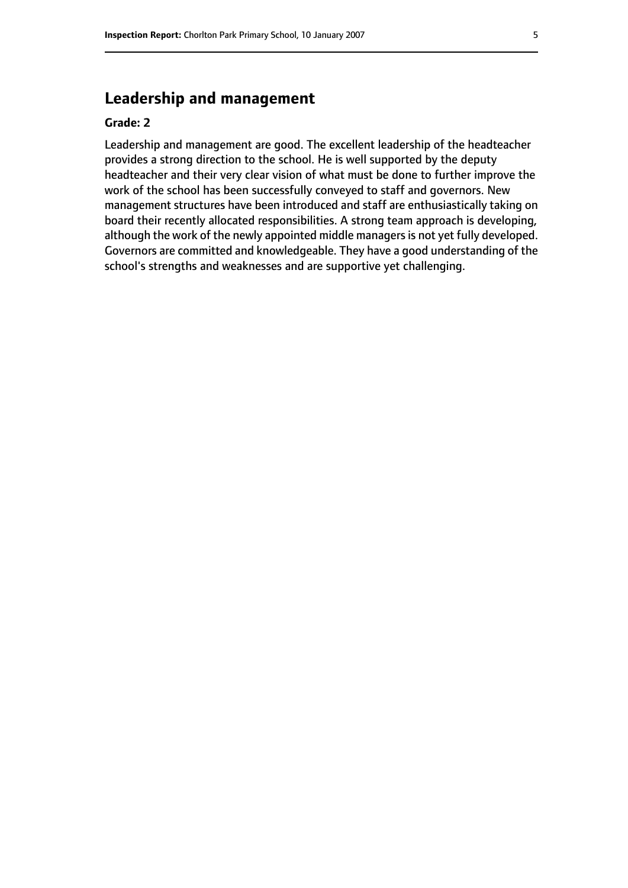# **Leadership and management**

#### **Grade: 2**

Leadership and management are good. The excellent leadership of the headteacher provides a strong direction to the school. He is well supported by the deputy headteacher and their very clear vision of what must be done to further improve the work of the school has been successfully conveyed to staff and governors. New management structures have been introduced and staff are enthusiastically taking on board their recently allocated responsibilities. A strong team approach is developing, although the work of the newly appointed middle managers is not yet fully developed. Governors are committed and knowledgeable. They have a good understanding of the school's strengths and weaknesses and are supportive yet challenging.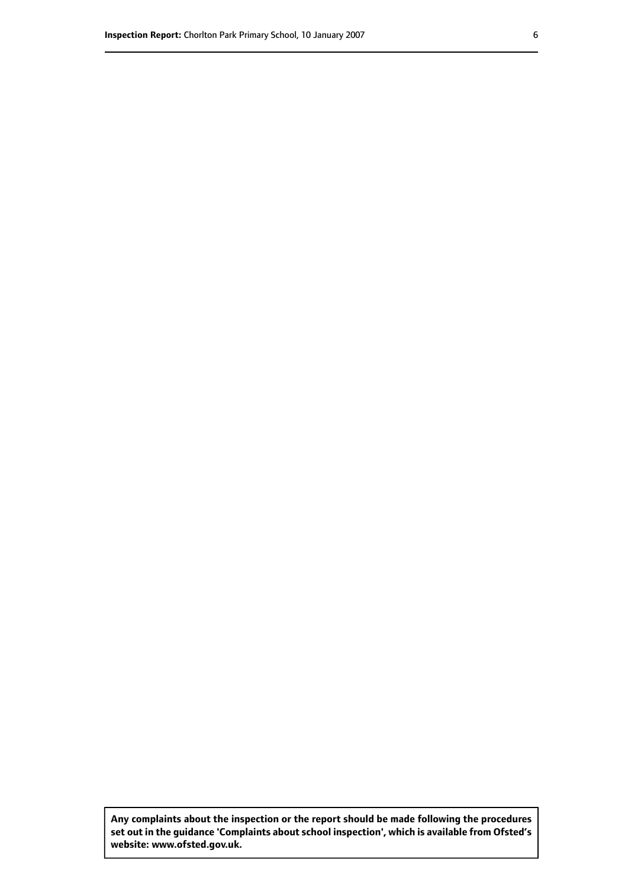**Any complaints about the inspection or the report should be made following the procedures set out inthe guidance 'Complaints about school inspection', whichis available from Ofsted's website: www.ofsted.gov.uk.**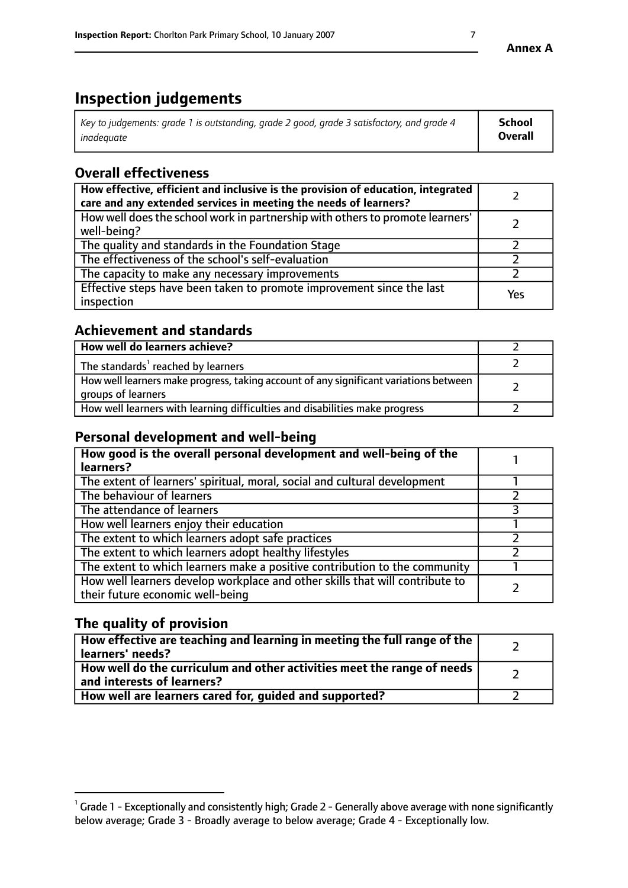# **Inspection judgements**

| Key to judgements: grade 1 is outstanding, grade 2 good, grade 3 satisfactory, and grade 4 | School         |
|--------------------------------------------------------------------------------------------|----------------|
| inadeauate                                                                                 | <b>Overall</b> |

# **Overall effectiveness**

| How effective, efficient and inclusive is the provision of education, integrated<br>care and any extended services in meeting the needs of learners? |     |
|------------------------------------------------------------------------------------------------------------------------------------------------------|-----|
| How well does the school work in partnership with others to promote learners'<br>well-being?                                                         |     |
| The quality and standards in the Foundation Stage                                                                                                    |     |
| The effectiveness of the school's self-evaluation                                                                                                    |     |
| The capacity to make any necessary improvements                                                                                                      |     |
| Effective steps have been taken to promote improvement since the last<br>inspection                                                                  | Yes |

# **Achievement and standards**

| How well do learners achieve?                                                                               |  |
|-------------------------------------------------------------------------------------------------------------|--|
| The standards <sup>1</sup> reached by learners                                                              |  |
| How well learners make progress, taking account of any significant variations between<br>groups of learners |  |
| How well learners with learning difficulties and disabilities make progress                                 |  |

# **Personal development and well-being**

| How good is the overall personal development and well-being of the<br>learners?                                  |  |
|------------------------------------------------------------------------------------------------------------------|--|
| The extent of learners' spiritual, moral, social and cultural development                                        |  |
| The behaviour of learners                                                                                        |  |
| The attendance of learners                                                                                       |  |
| How well learners enjoy their education                                                                          |  |
| The extent to which learners adopt safe practices                                                                |  |
| The extent to which learners adopt healthy lifestyles                                                            |  |
| The extent to which learners make a positive contribution to the community                                       |  |
| How well learners develop workplace and other skills that will contribute to<br>their future economic well-being |  |

# **The quality of provision**

| How effective are teaching and learning in meeting the full range of the<br>learners' needs?          |  |
|-------------------------------------------------------------------------------------------------------|--|
| How well do the curriculum and other activities meet the range of needs<br>and interests of learners? |  |
| How well are learners cared for, guided and supported?                                                |  |

 $^1$  Grade 1 - Exceptionally and consistently high; Grade 2 - Generally above average with none significantly below average; Grade 3 - Broadly average to below average; Grade 4 - Exceptionally low.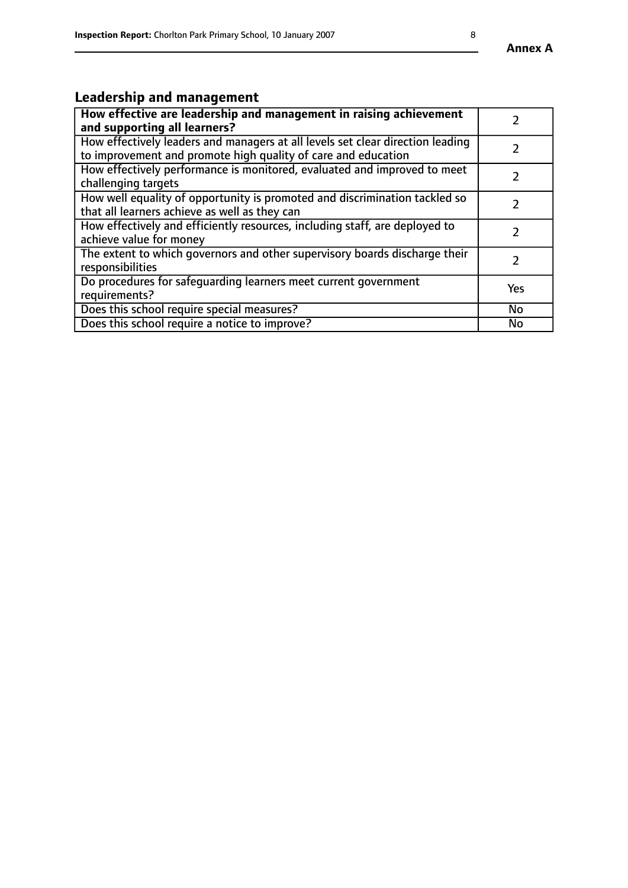# **Leadership and management**

| How effective are leadership and management in raising achievement<br>and supporting all learners?                                              |               |
|-------------------------------------------------------------------------------------------------------------------------------------------------|---------------|
| How effectively leaders and managers at all levels set clear direction leading<br>to improvement and promote high quality of care and education |               |
| How effectively performance is monitored, evaluated and improved to meet<br>challenging targets                                                 | $\mathcal{L}$ |
| How well equality of opportunity is promoted and discrimination tackled so<br>that all learners achieve as well as they can                     |               |
| How effectively and efficiently resources, including staff, are deployed to<br>achieve value for money                                          | $\mathcal{L}$ |
| The extent to which governors and other supervisory boards discharge their<br>responsibilities                                                  |               |
| Do procedures for safequarding learners meet current government<br>requirements?                                                                | Yes           |
| Does this school require special measures?                                                                                                      | No            |
| Does this school require a notice to improve?                                                                                                   | <b>No</b>     |